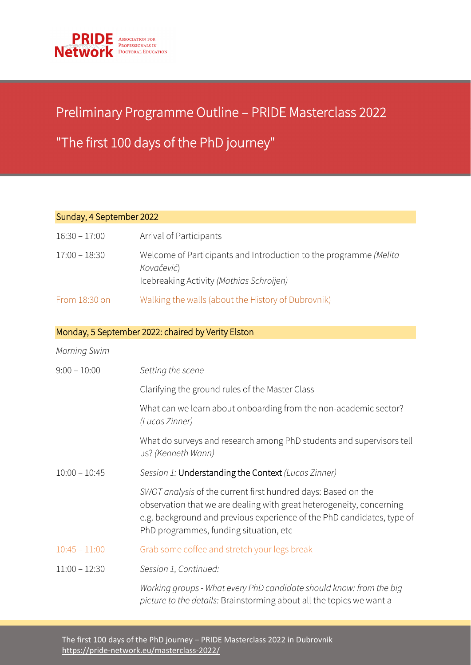

## Preliminary Programme Outline – PRIDE Masterclass 2022

## "The first 100 days of the PhD journey"

## Sunday, 4 September 2022

֦֘

| $16:30 - 17:00$ | Arrival of Participants                                                                                                     |
|-----------------|-----------------------------------------------------------------------------------------------------------------------------|
| 17:00 – 18:30   | Welcome of Participants and Introduction to the programme (Melita<br>Kovačević)<br>Icebreaking Activity (Mathias Schroijen) |
| From 18:30 on   | Walking the walls (about the History of Dubrovnik)                                                                          |

## Monday, 5 September 2022: chaired by Verity Elston

| <b>Morning Swim</b> |                                                                                                                                                                                                                                                           |
|---------------------|-----------------------------------------------------------------------------------------------------------------------------------------------------------------------------------------------------------------------------------------------------------|
| $9:00 - 10:00$      | Setting the scene                                                                                                                                                                                                                                         |
|                     | Clarifying the ground rules of the Master Class                                                                                                                                                                                                           |
|                     | What can we learn about onboarding from the non-academic sector?<br>(Lucas Zinner)                                                                                                                                                                        |
|                     | What do surveys and research among PhD students and supervisors tell<br>us? (Kenneth Wann)                                                                                                                                                                |
| $10:00 - 10:45$     | Session 1: Understanding the Context (Lucas Zinner)                                                                                                                                                                                                       |
|                     | SWOT analysis of the current first hundred days: Based on the<br>observation that we are dealing with great heterogeneity, concerning<br>e.g. background and previous experience of the PhD candidates, type of<br>PhD programmes, funding situation, etc |
| $10:45 - 11:00$     | Grab some coffee and stretch your legs break                                                                                                                                                                                                              |
| $11:00 - 12:30$     | Session 1, Continued:                                                                                                                                                                                                                                     |
|                     | Working groups - What every PhD candidate should know: from the big                                                                                                                                                                                       |

*picture to the details:* Brainstorming about all the topics we want a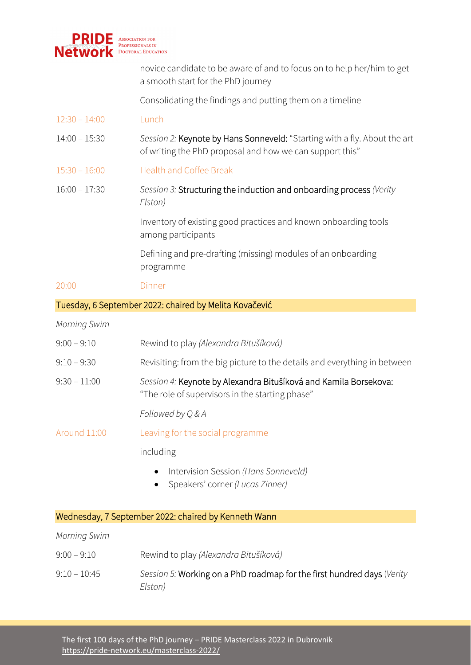

novice candidate to be aware of and to focus on to help her/him to get a smooth start for the PhD journey

Consolidating the findings and putting them on a timeline

- 12:30 14:00 Lunch
- 14:00 15:30 *Session 2:* Keynote by Hans Sonneveld: "Starting with a fly. About the art of writing the PhD proposal and how we can support this"
- 15:30 16:00 Health and Coffee Break
- 16:00 17:30 *Session 3:* Structuring the induction and onboarding process *(Verity Elston)*

Inventory of existing good practices and known onboarding tools among participants

Defining and pre-drafting (missing) modules of an onboarding programme

- 20:00 Dinner
- Tuesday, 6 September 2022: chaired by Melita Kovačević

*Morning Swim* 

| $9:00 - 9:10$       | Rewind to play (Alexandra Bitušíková)                                                                               |
|---------------------|---------------------------------------------------------------------------------------------------------------------|
| $9:10 - 9:30$       | Revisiting: from the big picture to the details and everything in between                                           |
| $9:30 - 11:00$      | Session 4: Keynote by Alexandra Bitušíková and Kamila Borsekova:<br>"The role of supervisors in the starting phase" |
|                     | Followed by Q & A                                                                                                   |
| Around 11:00        | Leaving for the social programme                                                                                    |
|                     | including                                                                                                           |
|                     | Intervision Session (Hans Sonneveld)<br>$\bullet$<br>Speakers' corner (Lucas Zinner)<br>$\bullet$                   |
|                     | Wednesday, 7 September 2022: chaired by Kenneth Wann                                                                |
| <b>Morning Swim</b> |                                                                                                                     |
| $9:00 - 9:10$       | Rewind to play (Alexandra Bitušíková)                                                                               |

9:10 – 10:45 *Session 5:* Working on a PhD roadmap for the first hundred days (*Verity Elston)*